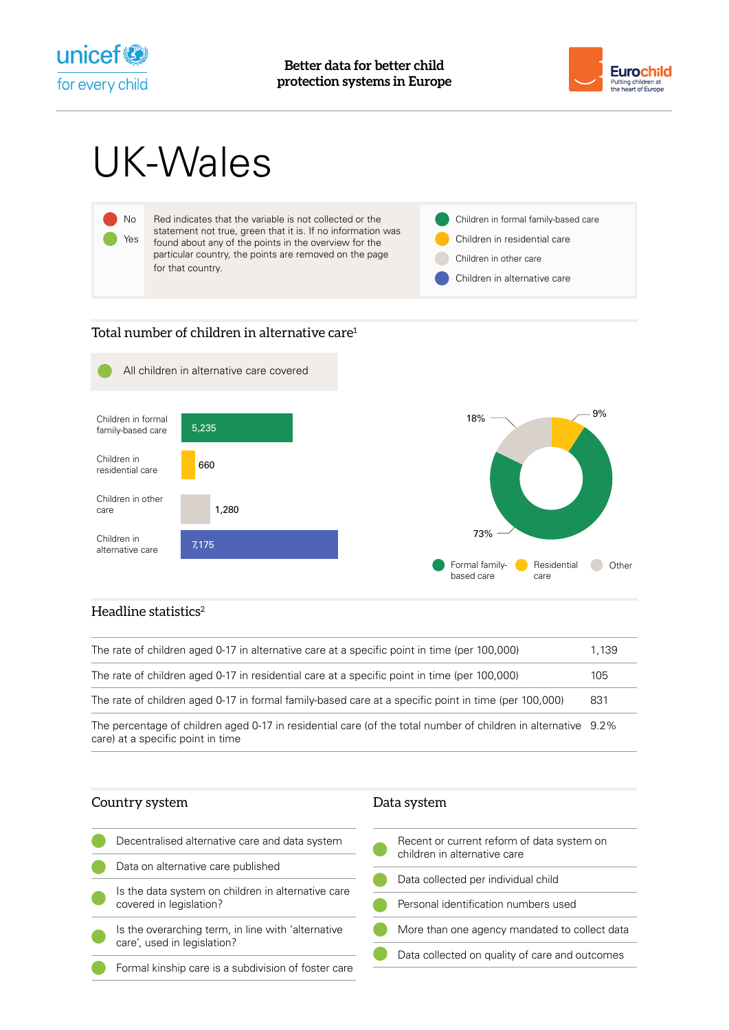



# UK-Wales



## Total number of children in alternative care<sup>1</sup>



# Headline statistics $2$

| The rate of children aged 0-17 in alternative care at a specific point in time (per 100,000)                                                       | 1.139 |
|----------------------------------------------------------------------------------------------------------------------------------------------------|-------|
| The rate of children aged 0-17 in residential care at a specific point in time (per 100,000)                                                       | 105   |
| The rate of children aged 0-17 in formal family-based care at a specific point in time (per 100,000)                                               | 831   |
| The percentage of children aged 0-17 in residential care (of the total number of children in alternative 9.2%<br>care) at a specific point in time |       |

| Country system                                                                    | Data system                                                                |  |
|-----------------------------------------------------------------------------------|----------------------------------------------------------------------------|--|
| Decentralised alternative care and data system                                    | Recent or current reform of data system on<br>children in alternative care |  |
| Data on alternative care published                                                | Data collected per individual child                                        |  |
| Is the data system on children in alternative care<br>covered in legislation?     | Personal identification numbers used                                       |  |
| Is the overarching term, in line with 'alternative<br>care', used in legislation? | More than one agency mandated to collect data                              |  |
| Formal kinship care is a subdivision of foster care                               | Data collected on quality of care and outcomes                             |  |